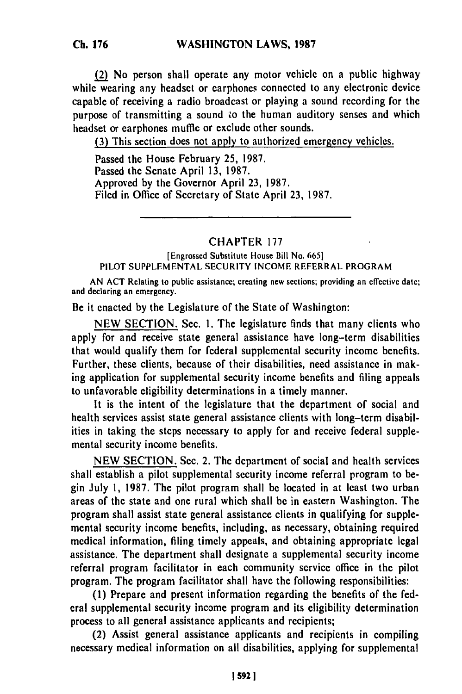**Ch. 176**

(2) No person shall operate any motor vehicle on a public highway while wearing any headset or earphones connected to any electronic device capable of receiving a radio broadcast or playing a sound recording for the purpose of transmitting a sound *'o* the human auditory senses and which headset or earphones muffle or exclude other sounds.

(3) This section does not apply to authorized emergency vehicles.

Passed the House February 25, 1987. Passed the Senate April 13, 1987. Approved by the Governor April 23, 1987. Filed in Office of Secretary of State April 23, 1987.

CHAPTER 177

[Engrossed Substitute House Bill No. 6651 PILOT SUPPLEMENTAL SECURITY INCOME REFERRAL PROGRAM

AN **ACT** Relating to public assistance; creating new sections; providing an effective date; and declaring an emergency.

Be it enacted by the Legislature of the State of Washington:

NEW SECTION. Sec. **1.** The legislature finds that many clients who apply for and receive state general assistance have long-term disabilities that would qualify them for federal supplemental security income benefits. Further, these clients, because of their disabilities, need assistance in making application for supplemental security income benefits and filing appeals to unfavorable eligibility determinations in a timely manner.

It is the intent of the legislature that the department of social and health services assist state general assistance clients with long-term disabilities in taking the steps necessary to apply for and receive federal supplemental security income benefits.

NEW SECTION. Sec. 2. The department of social and health services shall establish a pilot supplemental security income referral program to begin July 1, 1987. The pilot program shall be located in at least two urban areas of the state and one rural which shall be in eastern Washington. The program shall assist state general assistance clients in qualifying for supplemental security income benefits, including, as necessary, obtaining required medical information, filing timely appeals, and obtaining appropriate legal assistance. The department shall designate a supplemental security income referral program facilitator in each community service office in the pilot program. The program facilitator shall have the following responsibilities:

**(1)** Prepare and present information regarding the benefits of the federal supplemental security income program and its eligibility determination process to all general assistance applicants and recipients;

(2) Assist general assistance applicants and recipients in compiling necessary medical information on all disabilities, applying for supplemental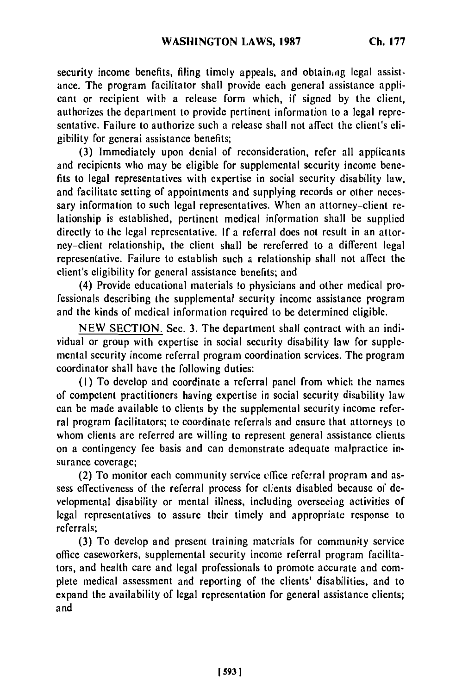security income benefits, filing timely appeals, and obtaining legal assistance. The program facilitator shall provide each general assistance applicant or recipient with a release form which, if signed by the client, authorizes the department to provide pertinent information to a legal representative. Failure to authorize such a release shall not affect the client's eligibility for generai assistance benefits;

(3) Immediately upon denial of reconsideration, refer all applicants and recipients who may be eligible for supplemental security income benefits to legal representatives with expertise in social security disability law, and facilitate setting of appointments and supplying records or other necessary information to such legal representatives. When an attorney-client relationship is established, pertinent medical information shall be supplied directly to the legal representative. If a referral does not result in an attorney-client relationship, the client shall be rereferred to a different legal representative. Failure to establish such a relationship shall not affect the client's eligibility for general assistance benefits; and

(4) Provide educational materials to physicians and other medical professionals describing the supplemental security income assistance program and the kinds of medical information required to be determined eligible.

NEW SECTION. Sec. 3. The department shall contract with an individual or group with expertise in social security disability law for supplemental security income referral program coordination services. The program coordinator shall have the following duties:

(I) To develop and coordinate a referral panel from which the names of competent practitioners having expertise in social security disability law can be made available to clients by the supplemental security income referral program facilitators; to coordinate referrals and ensure that attorneys to whom clients are referred are willing to represent general assistance clients on a contingency fee basis and can demonstrate adequate malpractice insurance coverage;

(2) To monitor each community service effice referral propram and assess effectiveness of the referral process for clients disabled because of developmental disability or mental illness, including overseeing activities of legal representatives to assure their timely and appropriate response to referrals;

(3) To develop and present training materials for community service office caseworkers, supplemental security income referral program facilitators, and health care and legal professionals to promote accurate and complete medical assessment and reporting of the clients' disabilities, and to expand the availability of legal representation for general assistance clients; and